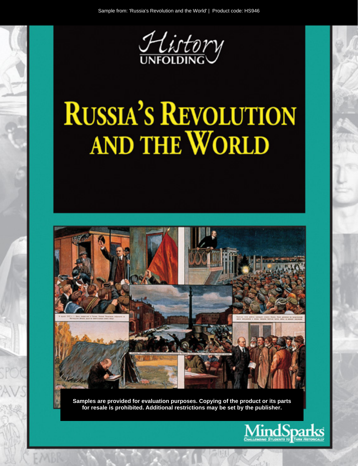

# **RUSSIA'S REVOLUTION** AND THE WORLD



Samples are provided for evaluation purposes. Copying of the product or its parts for resale is prohibited. Additional restrictions may be set by the publisher.

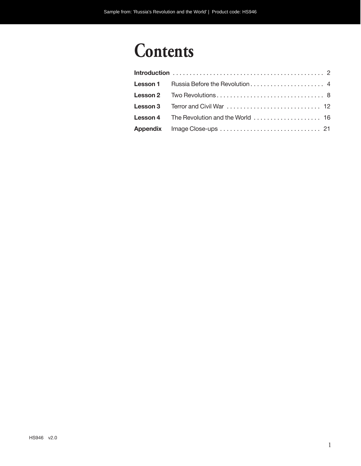## **Contents**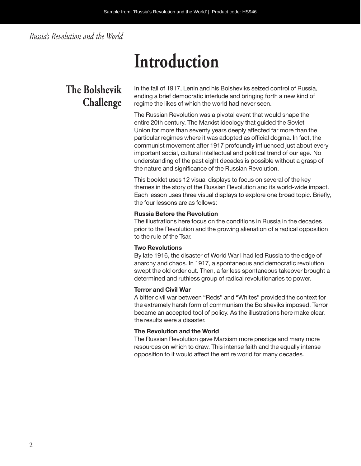#### *Russia's Revolution and the World*

## **Introduction**

## **The Bolshevik Challenge**

In the fall of 1917, Lenin and his Bolsheviks seized control of Russia, ending a brief democratic interlude and bringing forth a new kind of regime the likes of which the world had never seen.

The Russian Revolution was a pivotal event that would shape the entire 20th century. The Marxist ideology that guided the Soviet Union for more than seventy years deeply affected far more than the particular regimes where it was adopted as official dogma. In fact, the communist movement after 1917 profoundly influenced just about every important social, cultural intellectual and political trend of our age. No understanding of the past eight decades is possible without a grasp of the nature and significance of the Russian Revolution.

This booklet uses 12 visual displays to focus on several of the key themes in the story of the Russian Revolution and its world-wide impact. Each lesson uses three visual displays to explore one broad topic. Briefly, the four lessons are as follows:

#### **Russia Before the Revolution**

The illustrations here focus on the conditions in Russia in the decades prior to the Revolution and the growing alienation of a radical opposition to the rule of the Tsar.

#### **Two Revolutions**

By late 1916, the disaster of World War I had led Russia to the edge of anarchy and chaos. In 1917, a spontaneous and democratic revolution swept the old order out. Then, a far less spontaneous takeover brought a determined and ruthless group of radical revolutionaries to power.

#### **Terror and Civil War**

A bitter civil war between "Reds" and "Whites" provided the context for the extremely harsh form of communism the Bolsheviks imposed. Terror became an accepted tool of policy. As the illustrations here make clear, the results were a disaster.

#### **The Revolution and the World**

The Russian Revolution gave Marxism more prestige and many more resources on which to draw. This intense faith and the equally intense opposition to it would affect the entire world for many decades.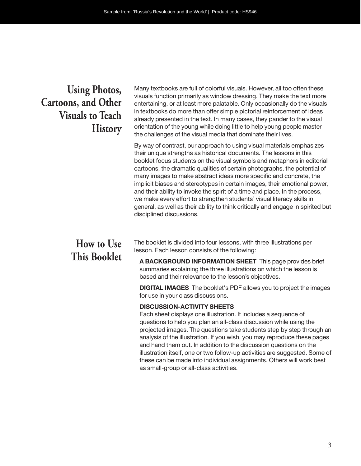### **Using Photos, Cartoons, and Other Visuals to Teach History**

Many textbooks are full of colorful visuals. However, all too often these visuals function primarily as window dressing. They make the text more entertaining, or at least more palatable. Only occasionally do the visuals in textbooks do more than offer simple pictorial reinforcement of ideas already presented in the text. In many cases, they pander to the visual orientation of the young while doing little to help young people master the challenges of the visual media that dominate their lives.

By way of contrast, our approach to using visual materials emphasizes their unique strengths as historical documents. The lessons in this booklet focus students on the visual symbols and metaphors in editorial cartoons, the dramatic qualities of certain photographs, the potential of many images to make abstract ideas more specific and concrete, the implicit biases and stereotypes in certain images, their emotional power, and their ability to invoke the spirit of a time and place. In the process, we make every effort to strengthen students' visual literacy skills in general, as well as their ability to think critically and engage in spirited but disciplined discussions.

### **How to Use This Booklet**

The booklet is divided into four lessons, with three illustrations per lesson. Each lesson consists of the following:

**A BACKGROUND INFORMATION SHEET** This page provides brief summaries explaining the three illustrations on which the lesson is based and their relevance to the lesson's objectives.

**DIGITAL IMAGES** The booklet's PDF allows you to project the images for use in your class discussions.

#### **DISCUSSION-ACTIVITY SHEETS**

Each sheet displays one illustration. It includes a sequence of questions to help you plan an all-class discussion while using the projected images. The questions take students step by step through an analysis of the illustration. If you wish, you may reproduce these pages and hand them out. In addition to the discussion questions on the illustration itself, one or two follow-up activities are suggested. Some of these can be made into individual assignments. Others will work best as small-group or all- class activities.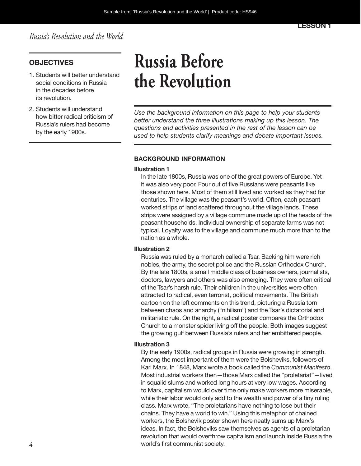*Russia's Revolution and the World*

#### **OBJECTIVES**

- 1. Students will better understand social conditions in Russia in the decades before its revolution.
- 2. Students will understand how bitter radical criticism of Russia's rulers had become by the early 1900s.

## **Russia Before the Revolution**

*Use the background information on this page to help your students better understand the three illustrations making up this lesson. The questions and activities presented in the rest of the lesson can be used to help students clarify meanings and debate important issues.*

#### **BACKGROUND INFORMATION**

#### **Illustration 1**

In the late 1800s, Russia was one of the great powers of Europe. Yet it was also very poor. Four out of five Russians were peasants like those shown here. Most of them still lived and worked as they had for centuries. The village was the peasant's world. Often, each peasant worked strips of land scattered throughout the village lands. These strips were assigned by a village commune made up of the heads of the peasant households. Individual ownership of separate farms was not typical. Loyalty was to the village and commune much more than to the nation as a whole.

#### **Illustration 2**

Russia was ruled by a monarch called a Tsar. Backing him were rich nobles, the army, the secret police and the Russian Orthodox Church. By the late 1800s, a small middle class of business owners, journalists, doctors, lawyers and others was also emerging. They were often critical of the Tsar's harsh rule. Their children in the universities were often attracted to radical, even terrorist, political movements. The British cartoon on the left comments on this trend, picturing a Russia torn between chaos and anarchy ("nihilism") and the Tsar's dictatorial and militaristic rule. On the right, a radical poster compares the Orthodox Church to a monster spider living off the people. Both images suggest the growing gulf between Russia's rulers and her embittered people.

#### **Illustration 3**

By the early 1900s, radical groups in Russia were growing in strength. Among the most important of them were the Bolsheviks, followers of Karl Marx. In 1848, Marx wrote a book called the *Communist Manifesto*. Most industrial workers then—those Marx called the "proletariat"—lived in squalid slums and worked long hours at very low wages. According to Marx, capitalism would over time only make workers more miserable, while their labor would only add to the wealth and power of a tiny ruling class. Marx wrote, "The proletarians have nothing to lose but their chains. They have a world to win." Using this metaphor of chained workers, the Bolshevik poster shown here neatly sums up Marx's ideas. In fact, the Bolsheviks saw themselves as agents of a proletarian revolution that would overthrow capitalism and launch inside Russia the world's first communist society.